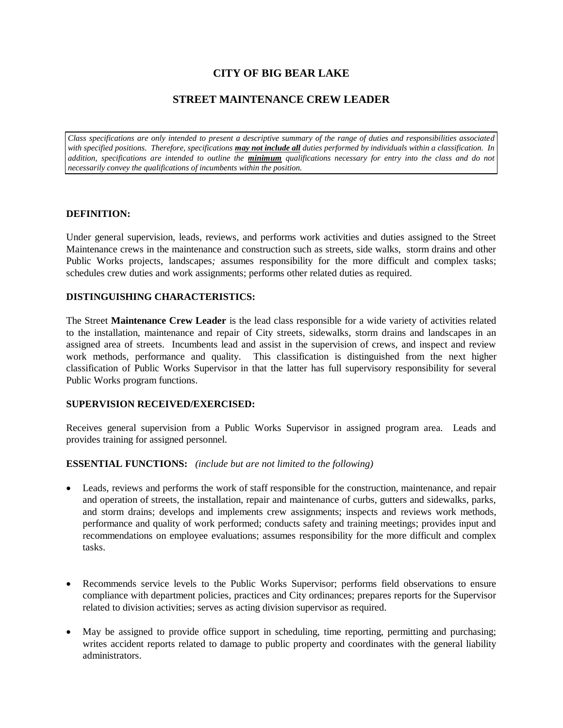## **CITY OF BIG BEAR LAKE**

## **STREET MAINTENANCE CREW LEADER**

*Class specifications are only intended to present a descriptive summary of the range of duties and responsibilities associated with specified positions. Therefore, specifications may not include all duties performed by individuals within a classification. In addition, specifications are intended to outline the minimum qualifications necessary for entry into the class and do not necessarily convey the qualifications of incumbents within the position.*

#### **DEFINITION:**

Under general supervision, leads, reviews, and performs work activities and duties assigned to the Street Maintenance crews in the maintenance and construction such as streets, side walks, storm drains and other Public Works projects, landscapes*;* assumes responsibility for the more difficult and complex tasks; schedules crew duties and work assignments; performs other related duties as required.

#### **DISTINGUISHING CHARACTERISTICS:**

The Street **Maintenance Crew Leader** is the lead class responsible for a wide variety of activities related to the installation, maintenance and repair of City streets, sidewalks, storm drains and landscapes in an assigned area of streets. Incumbents lead and assist in the supervision of crews, and inspect and review work methods, performance and quality. This classification is distinguished from the next higher classification of Public Works Supervisor in that the latter has full supervisory responsibility for several Public Works program functions.

#### **SUPERVISION RECEIVED/EXERCISED:**

Receives general supervision from a Public Works Supervisor in assigned program area. Leads and provides training for assigned personnel.

#### **ESSENTIAL FUNCTIONS:** *(include but are not limited to the following)*

- Leads, reviews and performs the work of staff responsible for the construction, maintenance, and repair and operation of streets, the installation, repair and maintenance of curbs, gutters and sidewalks, parks, and storm drains; develops and implements crew assignments; inspects and reviews work methods, performance and quality of work performed; conducts safety and training meetings; provides input and recommendations on employee evaluations; assumes responsibility for the more difficult and complex tasks.
- Recommends service levels to the Public Works Supervisor; performs field observations to ensure compliance with department policies, practices and City ordinances; prepares reports for the Supervisor related to division activities; serves as acting division supervisor as required.
- May be assigned to provide office support in scheduling, time reporting, permitting and purchasing; writes accident reports related to damage to public property and coordinates with the general liability administrators.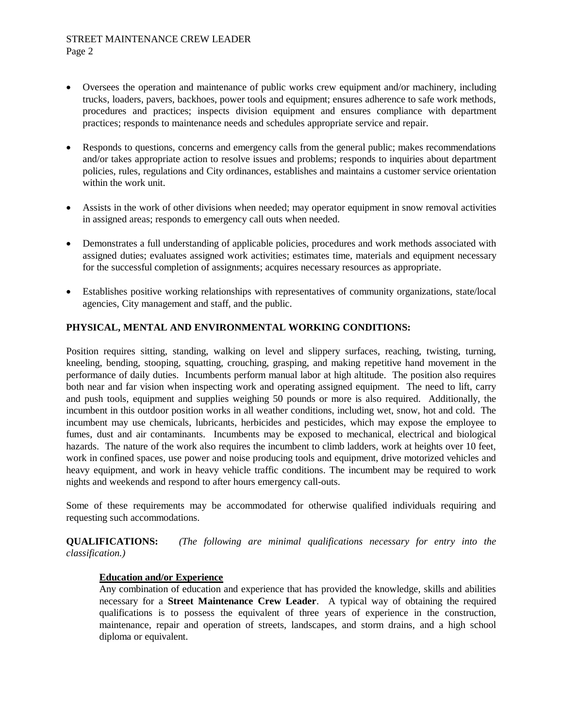#### STREET MAINTENANCE CREW LEADER Page 2

- Oversees the operation and maintenance of public works crew equipment and/or machinery, including trucks, loaders, pavers, backhoes, power tools and equipment; ensures adherence to safe work methods, procedures and practices; inspects division equipment and ensures compliance with department practices; responds to maintenance needs and schedules appropriate service and repair.
- Responds to questions, concerns and emergency calls from the general public; makes recommendations and/or takes appropriate action to resolve issues and problems; responds to inquiries about department policies, rules, regulations and City ordinances, establishes and maintains a customer service orientation within the work unit.
- Assists in the work of other divisions when needed; may operator equipment in snow removal activities in assigned areas; responds to emergency call outs when needed.
- Demonstrates a full understanding of applicable policies, procedures and work methods associated with assigned duties; evaluates assigned work activities; estimates time, materials and equipment necessary for the successful completion of assignments; acquires necessary resources as appropriate.
- Establishes positive working relationships with representatives of community organizations, state/local agencies, City management and staff, and the public.

## **PHYSICAL, MENTAL AND ENVIRONMENTAL WORKING CONDITIONS:**

Position requires sitting, standing, walking on level and slippery surfaces, reaching, twisting, turning, kneeling, bending, stooping, squatting, crouching, grasping, and making repetitive hand movement in the performance of daily duties. Incumbents perform manual labor at high altitude. The position also requires both near and far vision when inspecting work and operating assigned equipment. The need to lift, carry and push tools, equipment and supplies weighing 50 pounds or more is also required. Additionally, the incumbent in this outdoor position works in all weather conditions, including wet, snow, hot and cold. The incumbent may use chemicals, lubricants, herbicides and pesticides, which may expose the employee to fumes, dust and air contaminants. Incumbents may be exposed to mechanical, electrical and biological hazards. The nature of the work also requires the incumbent to climb ladders, work at heights over 10 feet, work in confined spaces, use power and noise producing tools and equipment, drive motorized vehicles and heavy equipment, and work in heavy vehicle traffic conditions. The incumbent may be required to work nights and weekends and respond to after hours emergency call-outs.

Some of these requirements may be accommodated for otherwise qualified individuals requiring and requesting such accommodations.

**QUALIFICATIONS:** *(The following are minimal qualifications necessary for entry into the classification.)*

#### **Education and/or Experience**

Any combination of education and experience that has provided the knowledge, skills and abilities necessary for a **Street Maintenance Crew Leader**. A typical way of obtaining the required qualifications is to possess the equivalent of three years of experience in the construction, maintenance, repair and operation of streets, landscapes, and storm drains, and a high school diploma or equivalent.